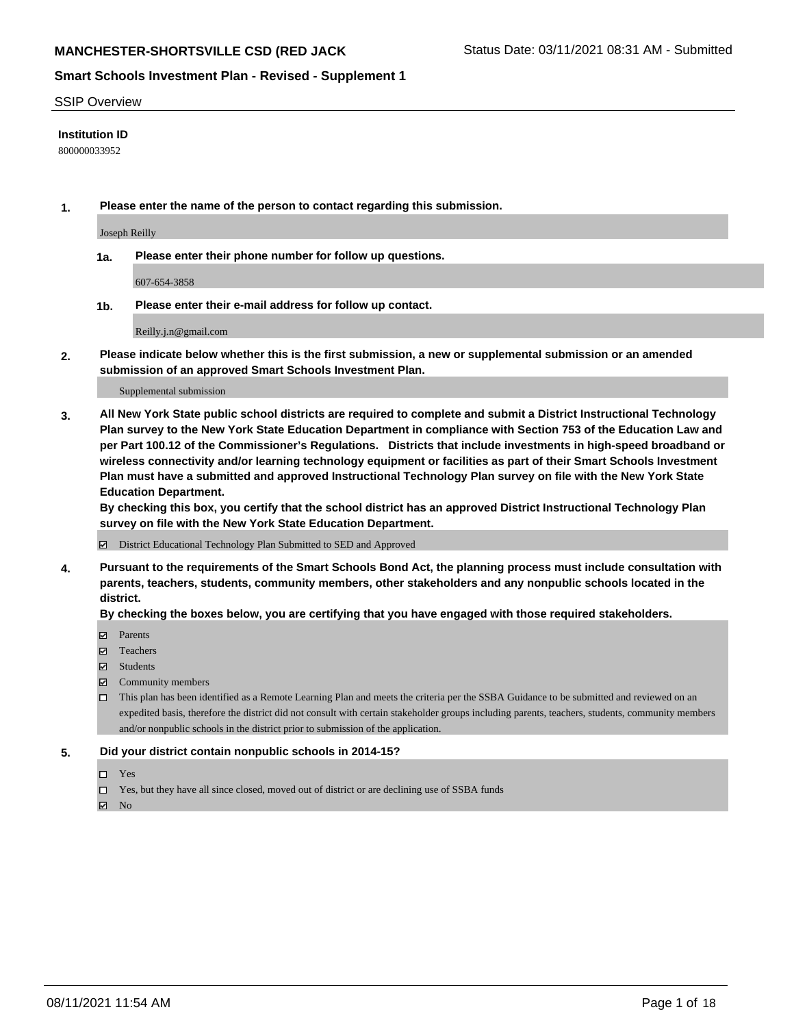#### SSIP Overview

### **Institution ID**

800000033952

**1. Please enter the name of the person to contact regarding this submission.**

Joseph Reilly

**1a. Please enter their phone number for follow up questions.**

607-654-3858

**1b. Please enter their e-mail address for follow up contact.**

Reilly.j.n@gmail.com

**2. Please indicate below whether this is the first submission, a new or supplemental submission or an amended submission of an approved Smart Schools Investment Plan.**

#### Supplemental submission

**3. All New York State public school districts are required to complete and submit a District Instructional Technology Plan survey to the New York State Education Department in compliance with Section 753 of the Education Law and per Part 100.12 of the Commissioner's Regulations. Districts that include investments in high-speed broadband or wireless connectivity and/or learning technology equipment or facilities as part of their Smart Schools Investment Plan must have a submitted and approved Instructional Technology Plan survey on file with the New York State Education Department.** 

**By checking this box, you certify that the school district has an approved District Instructional Technology Plan survey on file with the New York State Education Department.**

District Educational Technology Plan Submitted to SED and Approved

**4. Pursuant to the requirements of the Smart Schools Bond Act, the planning process must include consultation with parents, teachers, students, community members, other stakeholders and any nonpublic schools located in the district.** 

#### **By checking the boxes below, you are certifying that you have engaged with those required stakeholders.**

- **Parents**
- Teachers
- Students
- $\boxtimes$  Community members
- This plan has been identified as a Remote Learning Plan and meets the criteria per the SSBA Guidance to be submitted and reviewed on an expedited basis, therefore the district did not consult with certain stakeholder groups including parents, teachers, students, community members and/or nonpublic schools in the district prior to submission of the application.
- **5. Did your district contain nonpublic schools in 2014-15?**
	- □ Yes
	- □ Yes, but they have all since closed, moved out of district or are declining use of SSBA funds

 $M$  No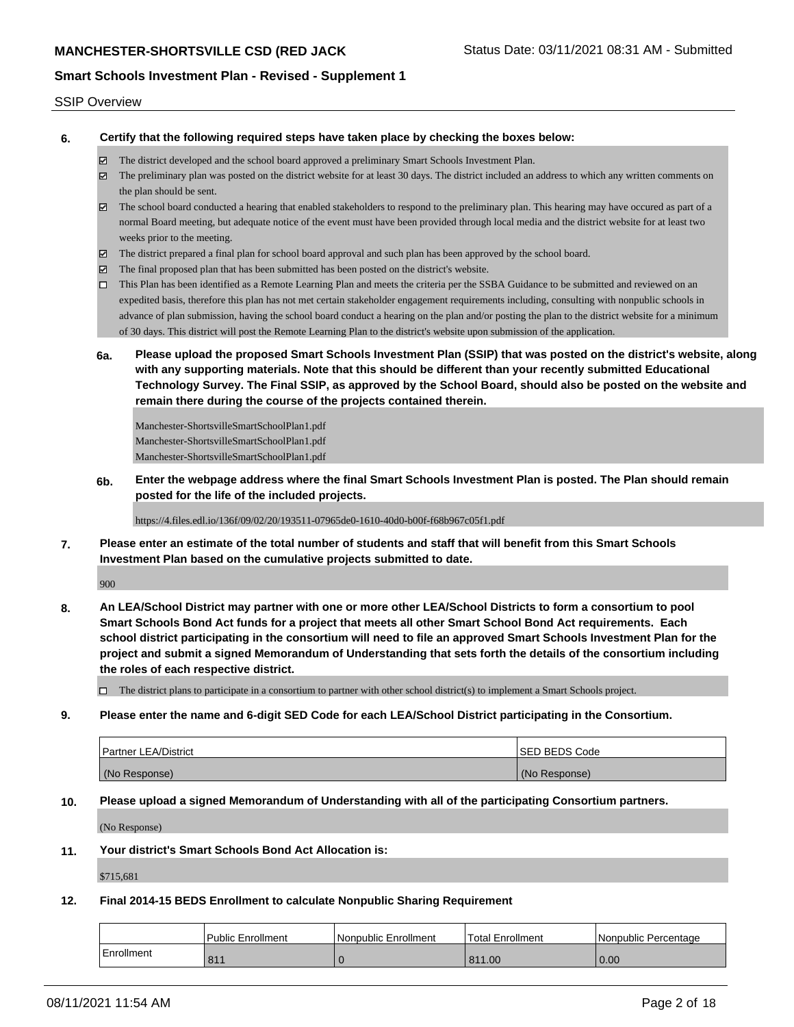#### SSIP Overview

**6. Certify that the following required steps have taken place by checking the boxes below:**

- The district developed and the school board approved a preliminary Smart Schools Investment Plan.
- The preliminary plan was posted on the district website for at least 30 days. The district included an address to which any written comments on the plan should be sent.
- The school board conducted a hearing that enabled stakeholders to respond to the preliminary plan. This hearing may have occured as part of a normal Board meeting, but adequate notice of the event must have been provided through local media and the district website for at least two weeks prior to the meeting.
- The district prepared a final plan for school board approval and such plan has been approved by the school board.
- $\boxtimes$  The final proposed plan that has been submitted has been posted on the district's website.
- This Plan has been identified as a Remote Learning Plan and meets the criteria per the SSBA Guidance to be submitted and reviewed on an expedited basis, therefore this plan has not met certain stakeholder engagement requirements including, consulting with nonpublic schools in advance of plan submission, having the school board conduct a hearing on the plan and/or posting the plan to the district website for a minimum of 30 days. This district will post the Remote Learning Plan to the district's website upon submission of the application.
- **6a. Please upload the proposed Smart Schools Investment Plan (SSIP) that was posted on the district's website, along with any supporting materials. Note that this should be different than your recently submitted Educational Technology Survey. The Final SSIP, as approved by the School Board, should also be posted on the website and remain there during the course of the projects contained therein.**

Manchester-ShortsvilleSmartSchoolPlan1.pdf Manchester-ShortsvilleSmartSchoolPlan1.pdf Manchester-ShortsvilleSmartSchoolPlan1.pdf

**6b. Enter the webpage address where the final Smart Schools Investment Plan is posted. The Plan should remain posted for the life of the included projects.**

https://4.files.edl.io/136f/09/02/20/193511-07965de0-1610-40d0-b00f-f68b967c05f1.pdf

**7. Please enter an estimate of the total number of students and staff that will benefit from this Smart Schools Investment Plan based on the cumulative projects submitted to date.**

900

**8. An LEA/School District may partner with one or more other LEA/School Districts to form a consortium to pool Smart Schools Bond Act funds for a project that meets all other Smart School Bond Act requirements. Each school district participating in the consortium will need to file an approved Smart Schools Investment Plan for the project and submit a signed Memorandum of Understanding that sets forth the details of the consortium including the roles of each respective district.**

 $\Box$  The district plans to participate in a consortium to partner with other school district(s) to implement a Smart Schools project.

**9. Please enter the name and 6-digit SED Code for each LEA/School District participating in the Consortium.**

| Partner LEA/District | <b>ISED BEDS Code</b> |
|----------------------|-----------------------|
| (No Response)        | (No Response)         |

**10. Please upload a signed Memorandum of Understanding with all of the participating Consortium partners.**

(No Response)

**11. Your district's Smart Schools Bond Act Allocation is:**

\$715,681

#### **12. Final 2014-15 BEDS Enrollment to calculate Nonpublic Sharing Requirement**

|            | Public Enrollment | Nonpublic Enrollment | Total Enrollment | Nonpublic Percentage |
|------------|-------------------|----------------------|------------------|----------------------|
| Enrollment | 811               |                      | 811.00           | 0.00                 |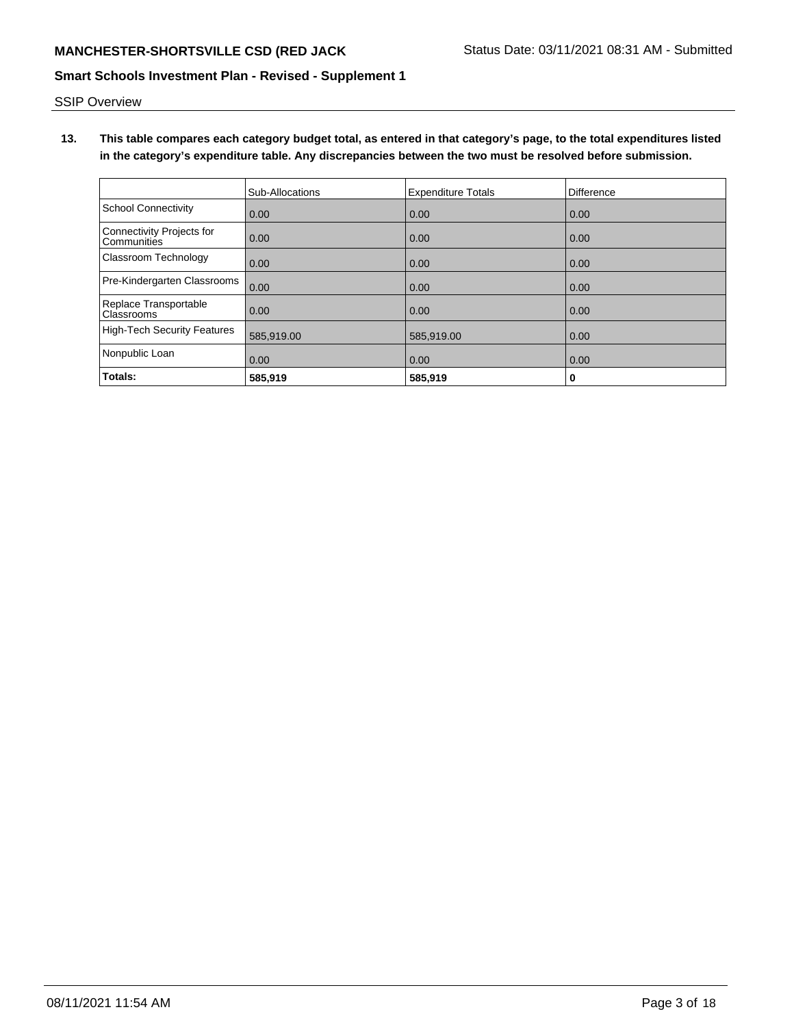SSIP Overview

**13. This table compares each category budget total, as entered in that category's page, to the total expenditures listed in the category's expenditure table. Any discrepancies between the two must be resolved before submission.**

|                                            | Sub-Allocations | <b>Expenditure Totals</b> | Difference |
|--------------------------------------------|-----------------|---------------------------|------------|
| <b>School Connectivity</b>                 | 0.00            | 0.00                      | 0.00       |
| Connectivity Projects for<br>Communities   | 0.00            | 0.00                      | 0.00       |
| <b>Classroom Technology</b>                | 0.00            | 0.00                      | 0.00       |
| Pre-Kindergarten Classrooms                | 0.00            | 0.00                      | 0.00       |
| Replace Transportable<br><b>Classrooms</b> | 0.00            | 0.00                      | 0.00       |
| <b>High-Tech Security Features</b>         | 585,919.00      | 585,919.00                | 0.00       |
| Nonpublic Loan                             | 0.00            | 0.00                      | 0.00       |
| Totals:                                    | 585.919         | 585.919                   | 0          |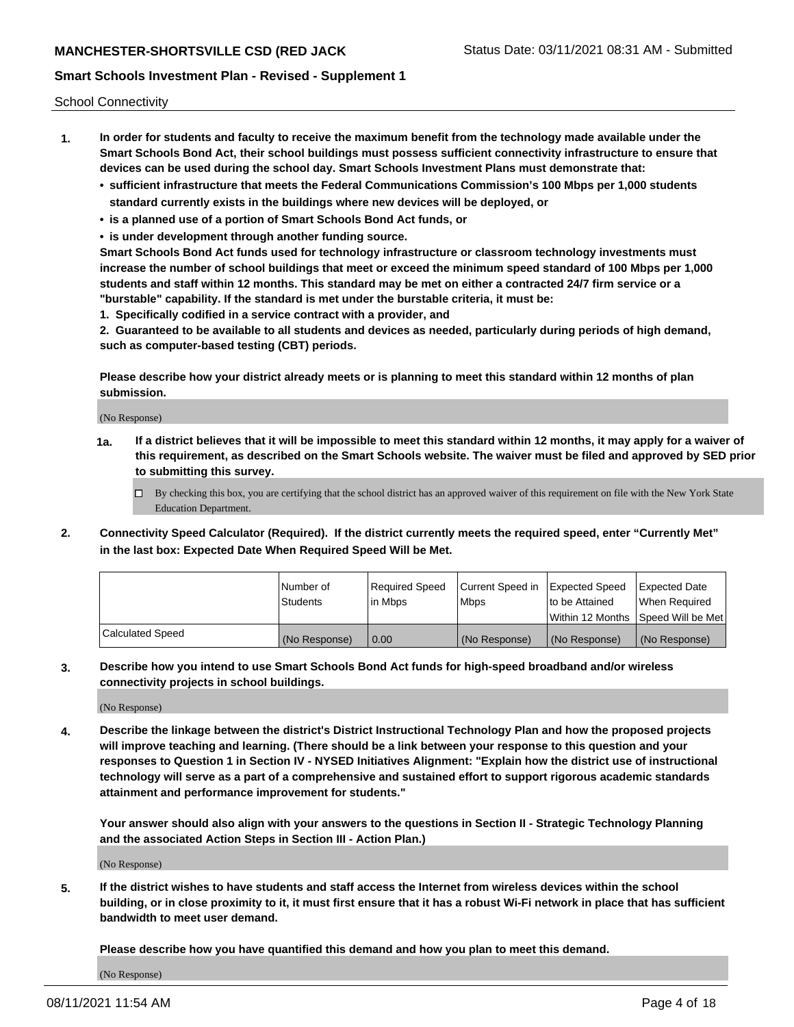School Connectivity

- **1. In order for students and faculty to receive the maximum benefit from the technology made available under the Smart Schools Bond Act, their school buildings must possess sufficient connectivity infrastructure to ensure that devices can be used during the school day. Smart Schools Investment Plans must demonstrate that:**
	- **• sufficient infrastructure that meets the Federal Communications Commission's 100 Mbps per 1,000 students standard currently exists in the buildings where new devices will be deployed, or**
	- **• is a planned use of a portion of Smart Schools Bond Act funds, or**
	- **• is under development through another funding source.**

**Smart Schools Bond Act funds used for technology infrastructure or classroom technology investments must increase the number of school buildings that meet or exceed the minimum speed standard of 100 Mbps per 1,000 students and staff within 12 months. This standard may be met on either a contracted 24/7 firm service or a "burstable" capability. If the standard is met under the burstable criteria, it must be:**

**1. Specifically codified in a service contract with a provider, and**

**2. Guaranteed to be available to all students and devices as needed, particularly during periods of high demand, such as computer-based testing (CBT) periods.**

**Please describe how your district already meets or is planning to meet this standard within 12 months of plan submission.**

(No Response)

**1a. If a district believes that it will be impossible to meet this standard within 12 months, it may apply for a waiver of this requirement, as described on the Smart Schools website. The waiver must be filed and approved by SED prior to submitting this survey.**

 $\Box$  By checking this box, you are certifying that the school district has an approved waiver of this requirement on file with the New York State Education Department.

**2. Connectivity Speed Calculator (Required). If the district currently meets the required speed, enter "Currently Met" in the last box: Expected Date When Required Speed Will be Met.**

|                  | l Number of     | Required Speed | Current Speed in | Expected Speed  | Expected Date                           |
|------------------|-----------------|----------------|------------------|-----------------|-----------------------------------------|
|                  | <b>Students</b> | In Mbps        | l Mbps           | to be Attained  | When Required                           |
|                  |                 |                |                  |                 | l Within 12 Months ISpeed Will be Met l |
| Calculated Speed | (No Response)   | 0.00           | (No Response)    | l (No Response) | l (No Response)                         |

**3. Describe how you intend to use Smart Schools Bond Act funds for high-speed broadband and/or wireless connectivity projects in school buildings.**

(No Response)

**4. Describe the linkage between the district's District Instructional Technology Plan and how the proposed projects will improve teaching and learning. (There should be a link between your response to this question and your responses to Question 1 in Section IV - NYSED Initiatives Alignment: "Explain how the district use of instructional technology will serve as a part of a comprehensive and sustained effort to support rigorous academic standards attainment and performance improvement for students."** 

**Your answer should also align with your answers to the questions in Section II - Strategic Technology Planning and the associated Action Steps in Section III - Action Plan.)**

(No Response)

**5. If the district wishes to have students and staff access the Internet from wireless devices within the school building, or in close proximity to it, it must first ensure that it has a robust Wi-Fi network in place that has sufficient bandwidth to meet user demand.**

**Please describe how you have quantified this demand and how you plan to meet this demand.**

(No Response)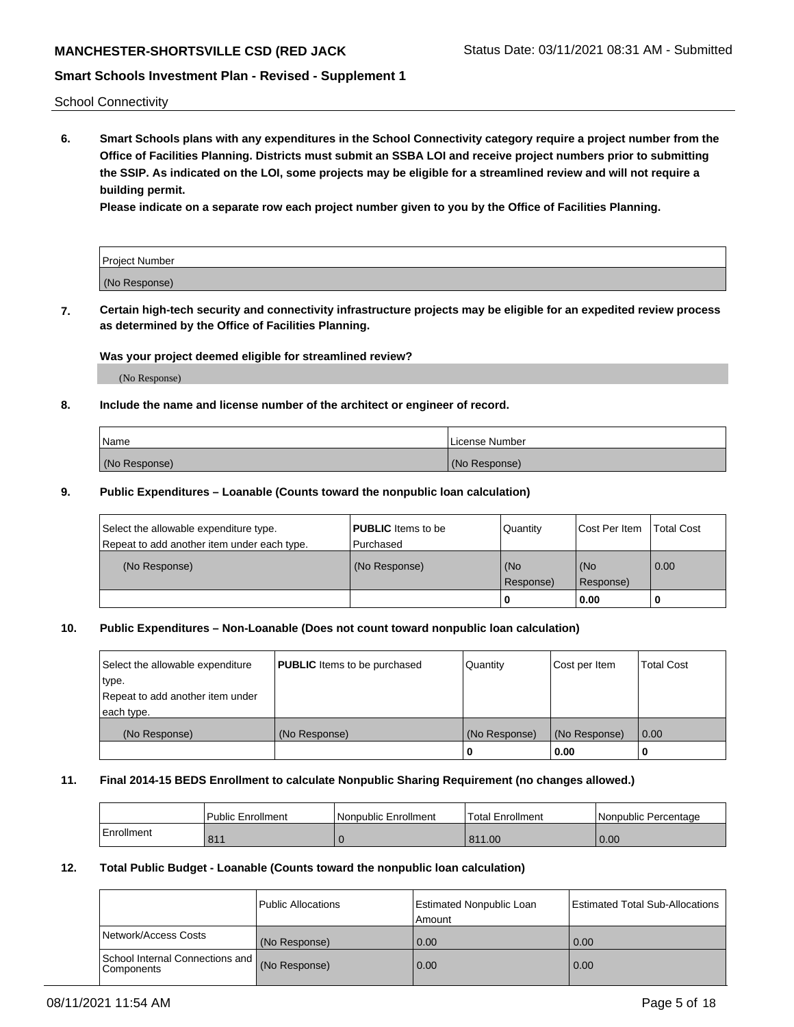# **MANCHESTER-SHORTSVILLE CSD (RED JACK Status Date: 03/11/2021 08:31 AM - Submitted**

### **Smart Schools Investment Plan - Revised - Supplement 1**

School Connectivity

**6. Smart Schools plans with any expenditures in the School Connectivity category require a project number from the Office of Facilities Planning. Districts must submit an SSBA LOI and receive project numbers prior to submitting the SSIP. As indicated on the LOI, some projects may be eligible for a streamlined review and will not require a building permit.**

**Please indicate on a separate row each project number given to you by the Office of Facilities Planning.**

| Project Number |  |
|----------------|--|
| (No Response)  |  |

**7. Certain high-tech security and connectivity infrastructure projects may be eligible for an expedited review process as determined by the Office of Facilities Planning.**

#### **Was your project deemed eligible for streamlined review?**

(No Response)

### **8. Include the name and license number of the architect or engineer of record.**

| Name          | License Number |
|---------------|----------------|
| (No Response) | (No Response)  |

### **9. Public Expenditures – Loanable (Counts toward the nonpublic loan calculation)**

| Select the allowable expenditure type.<br>Repeat to add another item under each type. | <b>PUBLIC</b> Items to be<br>l Purchased | <b>Quantity</b>  | Cost Per Item    | <b>Total Cost</b> |
|---------------------------------------------------------------------------------------|------------------------------------------|------------------|------------------|-------------------|
| (No Response)                                                                         | (No Response)                            | (No<br>Response) | (No<br>Response) | $\overline{0.00}$ |
|                                                                                       |                                          | 0                | 0.00             |                   |

### **10. Public Expenditures – Non-Loanable (Does not count toward nonpublic loan calculation)**

| Select the allowable expenditure<br>type.<br>Repeat to add another item under<br>each type. | <b>PUBLIC</b> Items to be purchased | Quantity      | Cost per Item | <b>Total Cost</b> |
|---------------------------------------------------------------------------------------------|-------------------------------------|---------------|---------------|-------------------|
| (No Response)                                                                               | (No Response)                       | (No Response) | (No Response) | 0.00              |
|                                                                                             |                                     |               | 0.00          |                   |

#### **11. Final 2014-15 BEDS Enrollment to calculate Nonpublic Sharing Requirement (no changes allowed.)**

|            | Public Enrollment | Nonpublic Enrollment | 'Total Enrollment | l Nonpublic Percentage |
|------------|-------------------|----------------------|-------------------|------------------------|
| Enrollment | 811               |                      | 811.00            | 0.00                   |

#### **12. Total Public Budget - Loanable (Counts toward the nonpublic loan calculation)**

|                                               | Public Allocations | Estimated Nonpublic Loan<br>Amount | Estimated Total Sub-Allocations |
|-----------------------------------------------|--------------------|------------------------------------|---------------------------------|
| Network/Access Costs                          | (No Response)      | 0.00                               | 0.00                            |
| School Internal Connections and<br>Components | (No Response)      | 0.00                               | 0.00                            |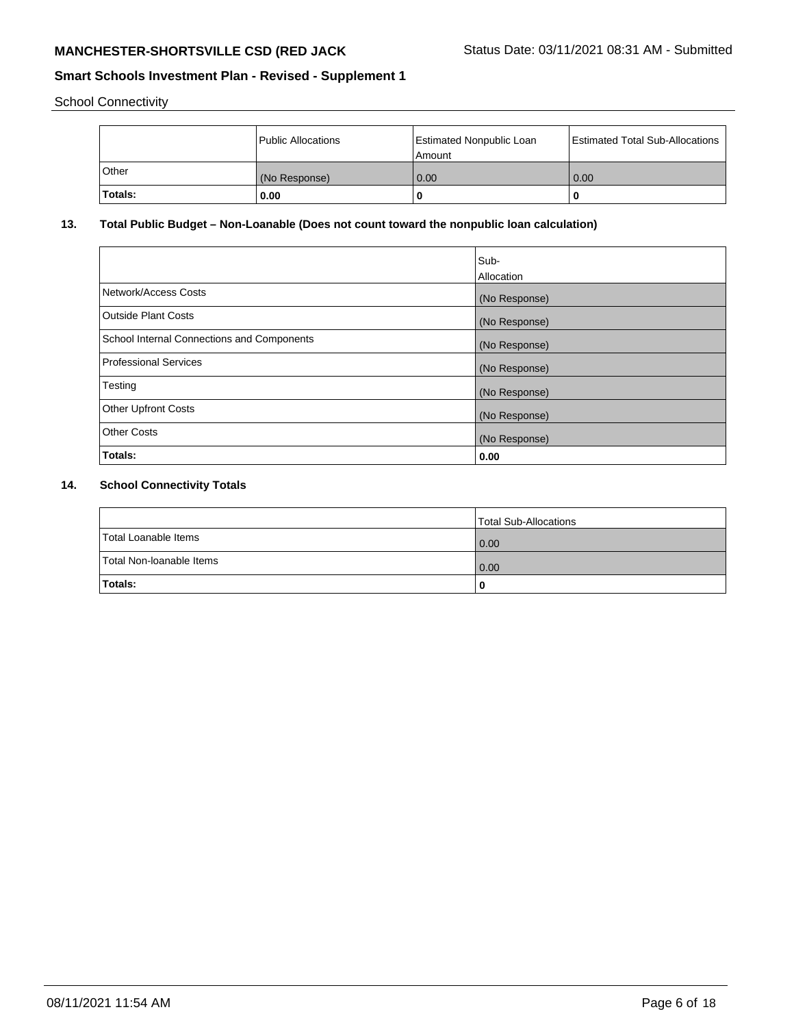School Connectivity

|              | <b>Public Allocations</b> | <b>Estimated Nonpublic Loan</b><br>l Amount | <b>Estimated Total Sub-Allocations</b> |
|--------------|---------------------------|---------------------------------------------|----------------------------------------|
| <b>Other</b> | (No Response)             | 0.00                                        | 0.00                                   |
| 'Totals:     | 0.00                      | 0                                           |                                        |

# **13. Total Public Budget – Non-Loanable (Does not count toward the nonpublic loan calculation)**

|                                                   | Sub-<br>Allocation |
|---------------------------------------------------|--------------------|
| Network/Access Costs                              | (No Response)      |
| Outside Plant Costs                               | (No Response)      |
| <b>School Internal Connections and Components</b> | (No Response)      |
| <b>Professional Services</b>                      | (No Response)      |
| Testing                                           | (No Response)      |
| <b>Other Upfront Costs</b>                        | (No Response)      |
| <b>Other Costs</b>                                | (No Response)      |
| Totals:                                           | 0.00               |

# **14. School Connectivity Totals**

|                          | Total Sub-Allocations |
|--------------------------|-----------------------|
| Total Loanable Items     | 0.00                  |
| Total Non-Ioanable Items | 0.00                  |
| Totals:                  |                       |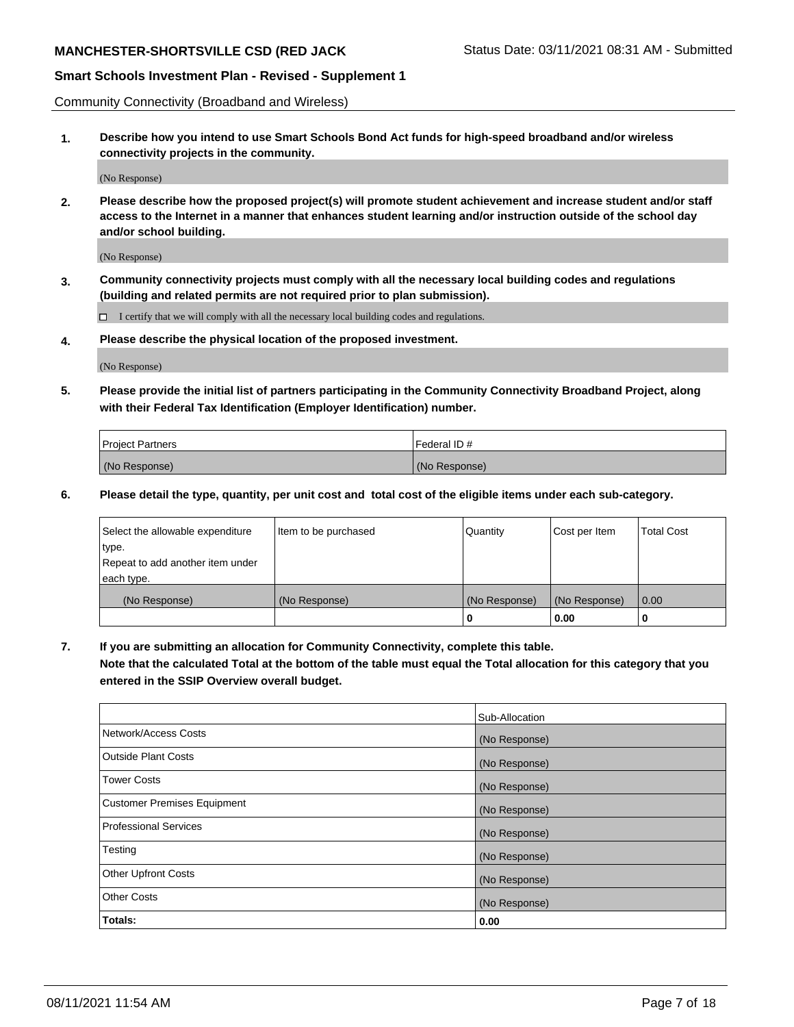Community Connectivity (Broadband and Wireless)

**1. Describe how you intend to use Smart Schools Bond Act funds for high-speed broadband and/or wireless connectivity projects in the community.**

(No Response)

**2. Please describe how the proposed project(s) will promote student achievement and increase student and/or staff access to the Internet in a manner that enhances student learning and/or instruction outside of the school day and/or school building.**

(No Response)

**3. Community connectivity projects must comply with all the necessary local building codes and regulations (building and related permits are not required prior to plan submission).**

 $\Box$  I certify that we will comply with all the necessary local building codes and regulations.

**4. Please describe the physical location of the proposed investment.**

(No Response)

**5. Please provide the initial list of partners participating in the Community Connectivity Broadband Project, along with their Federal Tax Identification (Employer Identification) number.**

| <b>Project Partners</b> | l Federal ID # |
|-------------------------|----------------|
| (No Response)           | (No Response)  |

**6. Please detail the type, quantity, per unit cost and total cost of the eligible items under each sub-category.**

| Select the allowable expenditure | Item to be purchased | Quantity      | Cost per Item | <b>Total Cost</b> |
|----------------------------------|----------------------|---------------|---------------|-------------------|
| type.                            |                      |               |               |                   |
| Repeat to add another item under |                      |               |               |                   |
| each type.                       |                      |               |               |                   |
| (No Response)                    | (No Response)        | (No Response) | (No Response) | 0.00              |
|                                  |                      | U             | 0.00          |                   |

**7. If you are submitting an allocation for Community Connectivity, complete this table.**

**Note that the calculated Total at the bottom of the table must equal the Total allocation for this category that you entered in the SSIP Overview overall budget.**

|                                    | Sub-Allocation |
|------------------------------------|----------------|
| Network/Access Costs               | (No Response)  |
| Outside Plant Costs                | (No Response)  |
| <b>Tower Costs</b>                 | (No Response)  |
| <b>Customer Premises Equipment</b> | (No Response)  |
| <b>Professional Services</b>       | (No Response)  |
| Testing                            | (No Response)  |
| <b>Other Upfront Costs</b>         | (No Response)  |
| <b>Other Costs</b>                 | (No Response)  |
| Totals:                            | 0.00           |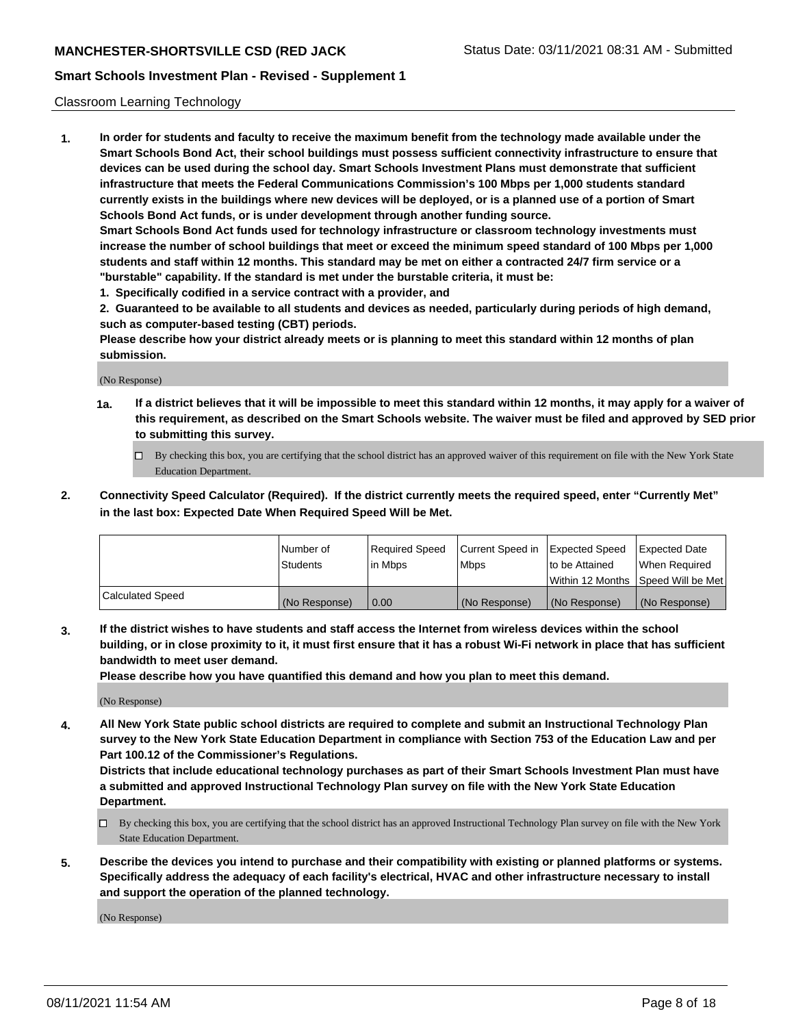### Classroom Learning Technology

**1. In order for students and faculty to receive the maximum benefit from the technology made available under the Smart Schools Bond Act, their school buildings must possess sufficient connectivity infrastructure to ensure that devices can be used during the school day. Smart Schools Investment Plans must demonstrate that sufficient infrastructure that meets the Federal Communications Commission's 100 Mbps per 1,000 students standard currently exists in the buildings where new devices will be deployed, or is a planned use of a portion of Smart Schools Bond Act funds, or is under development through another funding source. Smart Schools Bond Act funds used for technology infrastructure or classroom technology investments must increase the number of school buildings that meet or exceed the minimum speed standard of 100 Mbps per 1,000 students and staff within 12 months. This standard may be met on either a contracted 24/7 firm service or a "burstable" capability. If the standard is met under the burstable criteria, it must be:**

**1. Specifically codified in a service contract with a provider, and**

**2. Guaranteed to be available to all students and devices as needed, particularly during periods of high demand, such as computer-based testing (CBT) periods.**

**Please describe how your district already meets or is planning to meet this standard within 12 months of plan submission.**

(No Response)

- **1a. If a district believes that it will be impossible to meet this standard within 12 months, it may apply for a waiver of this requirement, as described on the Smart Schools website. The waiver must be filed and approved by SED prior to submitting this survey.**
	- By checking this box, you are certifying that the school district has an approved waiver of this requirement on file with the New York State Education Department.
- **2. Connectivity Speed Calculator (Required). If the district currently meets the required speed, enter "Currently Met" in the last box: Expected Date When Required Speed Will be Met.**

|                  | l Number of     | Required Speed | Current Speed in | <b>Expected Speed</b> | <b>Expected Date</b>                |
|------------------|-----------------|----------------|------------------|-----------------------|-------------------------------------|
|                  | <b>Students</b> | l in Mbps      | l Mbps           | to be Attained        | When Required                       |
|                  |                 |                |                  |                       | Within 12 Months  Speed Will be Met |
| Calculated Speed | (No Response)   | 0.00           | (No Response)    | l (No Response)       | (No Response)                       |

**3. If the district wishes to have students and staff access the Internet from wireless devices within the school building, or in close proximity to it, it must first ensure that it has a robust Wi-Fi network in place that has sufficient bandwidth to meet user demand.**

**Please describe how you have quantified this demand and how you plan to meet this demand.**

(No Response)

**4. All New York State public school districts are required to complete and submit an Instructional Technology Plan survey to the New York State Education Department in compliance with Section 753 of the Education Law and per Part 100.12 of the Commissioner's Regulations.**

**Districts that include educational technology purchases as part of their Smart Schools Investment Plan must have a submitted and approved Instructional Technology Plan survey on file with the New York State Education Department.**

- By checking this box, you are certifying that the school district has an approved Instructional Technology Plan survey on file with the New York State Education Department.
- **5. Describe the devices you intend to purchase and their compatibility with existing or planned platforms or systems. Specifically address the adequacy of each facility's electrical, HVAC and other infrastructure necessary to install and support the operation of the planned technology.**

(No Response)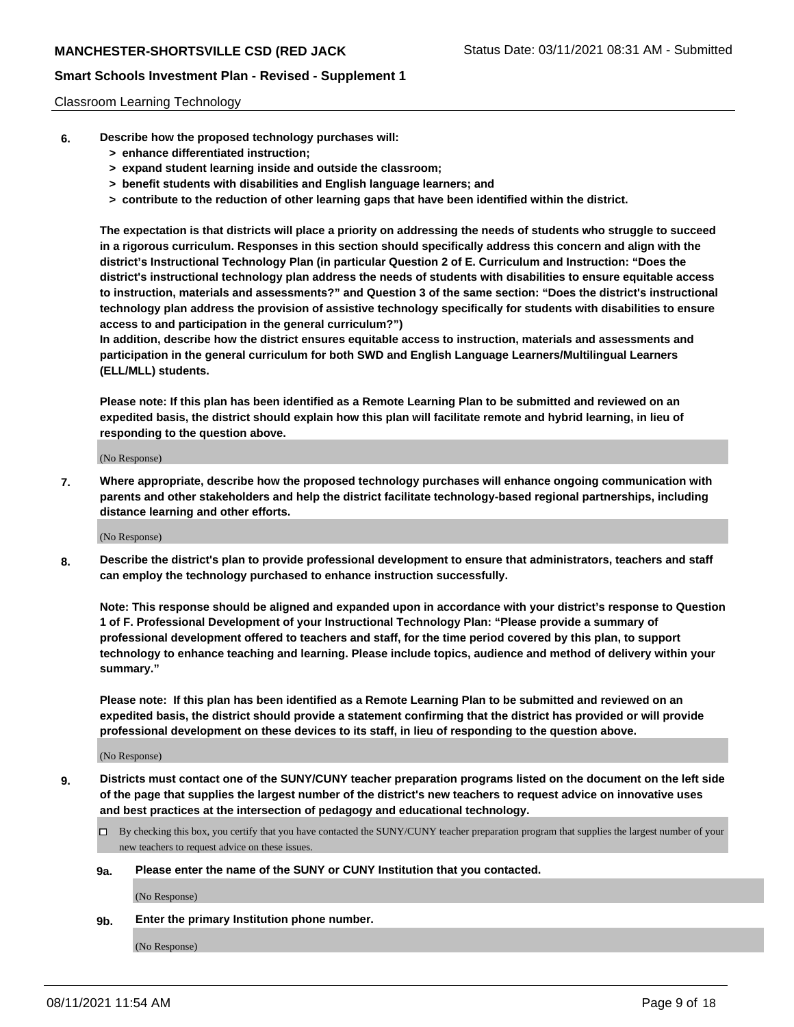#### Classroom Learning Technology

- **6. Describe how the proposed technology purchases will:**
	- **> enhance differentiated instruction;**
	- **> expand student learning inside and outside the classroom;**
	- **> benefit students with disabilities and English language learners; and**
	- **> contribute to the reduction of other learning gaps that have been identified within the district.**

**The expectation is that districts will place a priority on addressing the needs of students who struggle to succeed in a rigorous curriculum. Responses in this section should specifically address this concern and align with the district's Instructional Technology Plan (in particular Question 2 of E. Curriculum and Instruction: "Does the district's instructional technology plan address the needs of students with disabilities to ensure equitable access to instruction, materials and assessments?" and Question 3 of the same section: "Does the district's instructional technology plan address the provision of assistive technology specifically for students with disabilities to ensure access to and participation in the general curriculum?")**

**In addition, describe how the district ensures equitable access to instruction, materials and assessments and participation in the general curriculum for both SWD and English Language Learners/Multilingual Learners (ELL/MLL) students.**

**Please note: If this plan has been identified as a Remote Learning Plan to be submitted and reviewed on an expedited basis, the district should explain how this plan will facilitate remote and hybrid learning, in lieu of responding to the question above.**

(No Response)

**7. Where appropriate, describe how the proposed technology purchases will enhance ongoing communication with parents and other stakeholders and help the district facilitate technology-based regional partnerships, including distance learning and other efforts.**

(No Response)

**8. Describe the district's plan to provide professional development to ensure that administrators, teachers and staff can employ the technology purchased to enhance instruction successfully.**

**Note: This response should be aligned and expanded upon in accordance with your district's response to Question 1 of F. Professional Development of your Instructional Technology Plan: "Please provide a summary of professional development offered to teachers and staff, for the time period covered by this plan, to support technology to enhance teaching and learning. Please include topics, audience and method of delivery within your summary."**

**Please note: If this plan has been identified as a Remote Learning Plan to be submitted and reviewed on an expedited basis, the district should provide a statement confirming that the district has provided or will provide professional development on these devices to its staff, in lieu of responding to the question above.**

(No Response)

- **9. Districts must contact one of the SUNY/CUNY teacher preparation programs listed on the document on the left side of the page that supplies the largest number of the district's new teachers to request advice on innovative uses and best practices at the intersection of pedagogy and educational technology.**
	- $\Box$  By checking this box, you certify that you have contacted the SUNY/CUNY teacher preparation program that supplies the largest number of your new teachers to request advice on these issues.

#### **9a. Please enter the name of the SUNY or CUNY Institution that you contacted.**

(No Response)

**9b. Enter the primary Institution phone number.**

(No Response)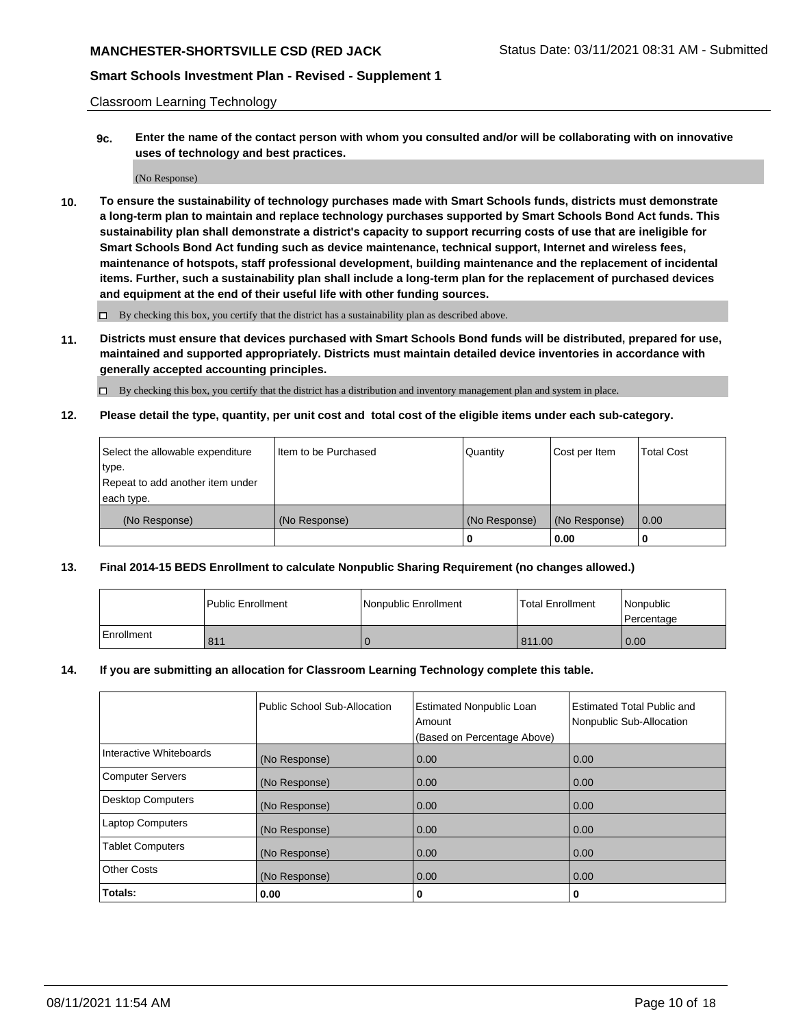## **MANCHESTER-SHORTSVILLE CSD (RED JACK Status Date: 03/11/2021 08:31 AM - Submitted**

### **Smart Schools Investment Plan - Revised - Supplement 1**

Classroom Learning Technology

**9c. Enter the name of the contact person with whom you consulted and/or will be collaborating with on innovative uses of technology and best practices.**

(No Response)

**10. To ensure the sustainability of technology purchases made with Smart Schools funds, districts must demonstrate a long-term plan to maintain and replace technology purchases supported by Smart Schools Bond Act funds. This sustainability plan shall demonstrate a district's capacity to support recurring costs of use that are ineligible for Smart Schools Bond Act funding such as device maintenance, technical support, Internet and wireless fees, maintenance of hotspots, staff professional development, building maintenance and the replacement of incidental items. Further, such a sustainability plan shall include a long-term plan for the replacement of purchased devices and equipment at the end of their useful life with other funding sources.**

 $\square$  By checking this box, you certify that the district has a sustainability plan as described above.

**11. Districts must ensure that devices purchased with Smart Schools Bond funds will be distributed, prepared for use, maintained and supported appropriately. Districts must maintain detailed device inventories in accordance with generally accepted accounting principles.**

By checking this box, you certify that the district has a distribution and inventory management plan and system in place.

**12. Please detail the type, quantity, per unit cost and total cost of the eligible items under each sub-category.**

| Select the allowable expenditure | Item to be Purchased | Quantity      | Cost per Item | <b>Total Cost</b> |
|----------------------------------|----------------------|---------------|---------------|-------------------|
| type.                            |                      |               |               |                   |
| Repeat to add another item under |                      |               |               |                   |
| each type.                       |                      |               |               |                   |
| (No Response)                    | (No Response)        | (No Response) | (No Response) | $\overline{0.00}$ |
|                                  |                      |               | 0.00          |                   |

### **13. Final 2014-15 BEDS Enrollment to calculate Nonpublic Sharing Requirement (no changes allowed.)**

|              | l Public Enrollment | Nonpublic Enrollment | <b>Total Enrollment</b> | Nonpublic<br>l Percentage |
|--------------|---------------------|----------------------|-------------------------|---------------------------|
| l Enrollment | 811                 |                      | 811.00                  | 0.00                      |

### **14. If you are submitting an allocation for Classroom Learning Technology complete this table.**

|                          | Public School Sub-Allocation | <b>Estimated Nonpublic Loan</b><br>Amount | Estimated Total Public and<br>Nonpublic Sub-Allocation |
|--------------------------|------------------------------|-------------------------------------------|--------------------------------------------------------|
|                          |                              | (Based on Percentage Above)               |                                                        |
| Interactive Whiteboards  | (No Response)                | 0.00                                      | 0.00                                                   |
| <b>Computer Servers</b>  | (No Response)                | 0.00                                      | 0.00                                                   |
| <b>Desktop Computers</b> | (No Response)                | 0.00                                      | 0.00                                                   |
| <b>Laptop Computers</b>  | (No Response)                | 0.00                                      | 0.00                                                   |
| <b>Tablet Computers</b>  | (No Response)                | 0.00                                      | 0.00                                                   |
| <b>Other Costs</b>       | (No Response)                | 0.00                                      | 0.00                                                   |
| Totals:                  | 0.00                         | 0                                         | 0                                                      |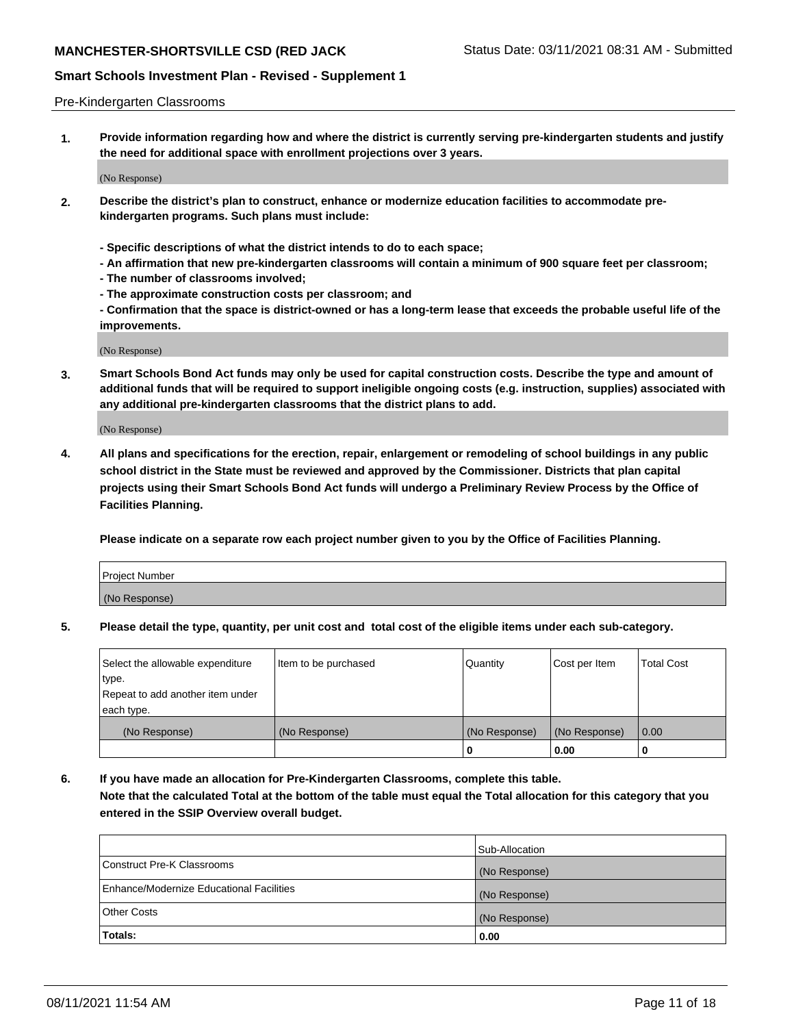#### Pre-Kindergarten Classrooms

**1. Provide information regarding how and where the district is currently serving pre-kindergarten students and justify the need for additional space with enrollment projections over 3 years.**

(No Response)

- **2. Describe the district's plan to construct, enhance or modernize education facilities to accommodate prekindergarten programs. Such plans must include:**
	- **Specific descriptions of what the district intends to do to each space;**
	- **An affirmation that new pre-kindergarten classrooms will contain a minimum of 900 square feet per classroom;**
	- **The number of classrooms involved;**
	- **The approximate construction costs per classroom; and**
	- **Confirmation that the space is district-owned or has a long-term lease that exceeds the probable useful life of the improvements.**

(No Response)

**3. Smart Schools Bond Act funds may only be used for capital construction costs. Describe the type and amount of additional funds that will be required to support ineligible ongoing costs (e.g. instruction, supplies) associated with any additional pre-kindergarten classrooms that the district plans to add.**

(No Response)

**4. All plans and specifications for the erection, repair, enlargement or remodeling of school buildings in any public school district in the State must be reviewed and approved by the Commissioner. Districts that plan capital projects using their Smart Schools Bond Act funds will undergo a Preliminary Review Process by the Office of Facilities Planning.**

**Please indicate on a separate row each project number given to you by the Office of Facilities Planning.**

| Project Number |  |
|----------------|--|
| (No Response)  |  |
|                |  |

**5. Please detail the type, quantity, per unit cost and total cost of the eligible items under each sub-category.**

| Select the allowable expenditure | Item to be purchased | Quantity      | Cost per Item | <b>Total Cost</b> |
|----------------------------------|----------------------|---------------|---------------|-------------------|
| type.                            |                      |               |               |                   |
| Repeat to add another item under |                      |               |               |                   |
| each type.                       |                      |               |               |                   |
| (No Response)                    | (No Response)        | (No Response) | (No Response) | 0.00              |
|                                  |                      | U             | 0.00          |                   |

**6. If you have made an allocation for Pre-Kindergarten Classrooms, complete this table. Note that the calculated Total at the bottom of the table must equal the Total allocation for this category that you entered in the SSIP Overview overall budget.**

|                                          | Sub-Allocation |
|------------------------------------------|----------------|
| Construct Pre-K Classrooms               | (No Response)  |
| Enhance/Modernize Educational Facilities | (No Response)  |
| <b>Other Costs</b>                       | (No Response)  |
| Totals:                                  | 0.00           |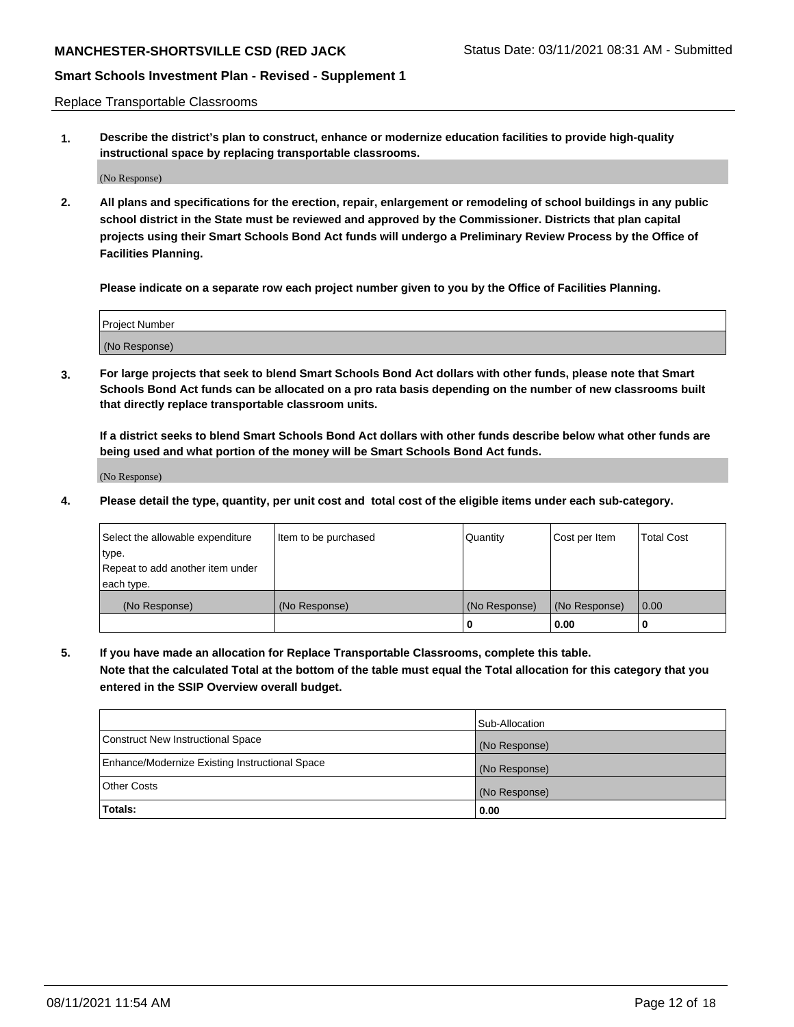# **MANCHESTER-SHORTSVILLE CSD (RED JACK Status Date: 03/11/2021 08:31 AM - Submitted**

### **Smart Schools Investment Plan - Revised - Supplement 1**

Replace Transportable Classrooms

**1. Describe the district's plan to construct, enhance or modernize education facilities to provide high-quality instructional space by replacing transportable classrooms.**

(No Response)

**2. All plans and specifications for the erection, repair, enlargement or remodeling of school buildings in any public school district in the State must be reviewed and approved by the Commissioner. Districts that plan capital projects using their Smart Schools Bond Act funds will undergo a Preliminary Review Process by the Office of Facilities Planning.**

**Please indicate on a separate row each project number given to you by the Office of Facilities Planning.**

| Project Number |  |
|----------------|--|
|                |  |
| (No Response)  |  |

**3. For large projects that seek to blend Smart Schools Bond Act dollars with other funds, please note that Smart Schools Bond Act funds can be allocated on a pro rata basis depending on the number of new classrooms built that directly replace transportable classroom units.**

**If a district seeks to blend Smart Schools Bond Act dollars with other funds describe below what other funds are being used and what portion of the money will be Smart Schools Bond Act funds.**

(No Response)

**4. Please detail the type, quantity, per unit cost and total cost of the eligible items under each sub-category.**

| Select the allowable expenditure | Item to be purchased | Quantity      | Cost per Item | Total Cost |
|----------------------------------|----------------------|---------------|---------------|------------|
| ∣type.                           |                      |               |               |            |
| Repeat to add another item under |                      |               |               |            |
| each type.                       |                      |               |               |            |
| (No Response)                    | (No Response)        | (No Response) | (No Response) | 0.00       |
|                                  |                      | u             | 0.00          |            |

**5. If you have made an allocation for Replace Transportable Classrooms, complete this table. Note that the calculated Total at the bottom of the table must equal the Total allocation for this category that you entered in the SSIP Overview overall budget.**

|                                                | Sub-Allocation |
|------------------------------------------------|----------------|
| Construct New Instructional Space              | (No Response)  |
| Enhance/Modernize Existing Instructional Space | (No Response)  |
| Other Costs                                    | (No Response)  |
| Totals:                                        | 0.00           |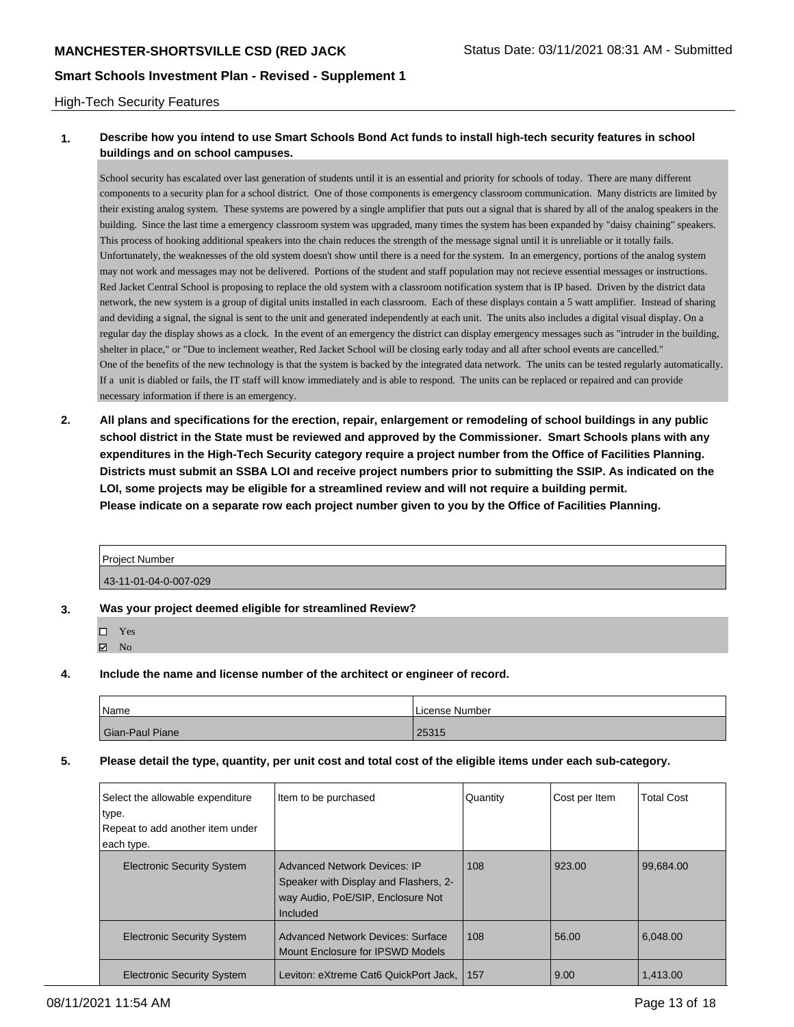#### High-Tech Security Features

### **1. Describe how you intend to use Smart Schools Bond Act funds to install high-tech security features in school buildings and on school campuses.**

School security has escalated over last generation of students until it is an essential and priority for schools of today. There are many different components to a security plan for a school district. One of those components is emergency classroom communication. Many districts are limited by their existing analog system. These systems are powered by a single amplifier that puts out a signal that is shared by all of the analog speakers in the building. Since the last time a emergency classroom system was upgraded, many times the system has been expanded by "daisy chaining" speakers. This process of hooking additional speakers into the chain reduces the strength of the message signal until it is unreliable or it totally fails. Unfortunately, the weaknesses of the old system doesn't show until there is a need for the system. In an emergency, portions of the analog system may not work and messages may not be delivered. Portions of the student and staff population may not recieve essential messages or instructions. Red Jacket Central School is proposing to replace the old system with a classroom notification system that is IP based. Driven by the district data network, the new system is a group of digital units installed in each classroom. Each of these displays contain a 5 watt amplifier. Instead of sharing and deviding a signal, the signal is sent to the unit and generated independently at each unit. The units also includes a digital visual display. On a regular day the display shows as a clock. In the event of an emergency the district can display emergency messages such as "intruder in the building, shelter in place," or "Due to inclement weather, Red Jacket School will be closing early today and all after school events are cancelled." One of the benefits of the new technology is that the system is backed by the integrated data network. The units can be tested regularly automatically. If a unit is diabled or fails, the IT staff will know immediately and is able to respond. The units can be replaced or repaired and can provide necessary information if there is an emergency.

**2. All plans and specifications for the erection, repair, enlargement or remodeling of school buildings in any public school district in the State must be reviewed and approved by the Commissioner. Smart Schools plans with any expenditures in the High-Tech Security category require a project number from the Office of Facilities Planning. Districts must submit an SSBA LOI and receive project numbers prior to submitting the SSIP. As indicated on the LOI, some projects may be eligible for a streamlined review and will not require a building permit. Please indicate on a separate row each project number given to you by the Office of Facilities Planning.**

| <b>Project Number</b> |  |
|-----------------------|--|
| 43-11-01-04-0-007-029 |  |

#### **3. Was your project deemed eligible for streamlined Review?**

| П | <b>Yes</b> |
|---|------------|
| 罓 | Nο         |

**4. Include the name and license number of the architect or engineer of record.**

| Name            | License Number |
|-----------------|----------------|
| Gian-Paul Piane | 25315          |

#### **5. Please detail the type, quantity, per unit cost and total cost of the eligible items under each sub-category.**

| Select the allowable expenditure<br>type.<br>Repeat to add another item under<br>each type. | Item to be purchased                                                                                                          | Quantity | Cost per Item | <b>Total Cost</b> |
|---------------------------------------------------------------------------------------------|-------------------------------------------------------------------------------------------------------------------------------|----------|---------------|-------------------|
| <b>Electronic Security System</b>                                                           | <b>Advanced Network Devices: IP</b><br>Speaker with Display and Flashers, 2-<br>way Audio, PoE/SIP, Enclosure Not<br>Included | 108      | 923.00        | 99.684.00         |
| <b>Electronic Security System</b>                                                           | <b>Advanced Network Devices: Surface</b><br>Mount Enclosure for IPSWD Models                                                  | 108      | 56.00         | 6,048.00          |
| <b>Electronic Security System</b>                                                           | Leviton: eXtreme Cat6 QuickPort Jack,                                                                                         | 157      | 9.00          | 1,413.00          |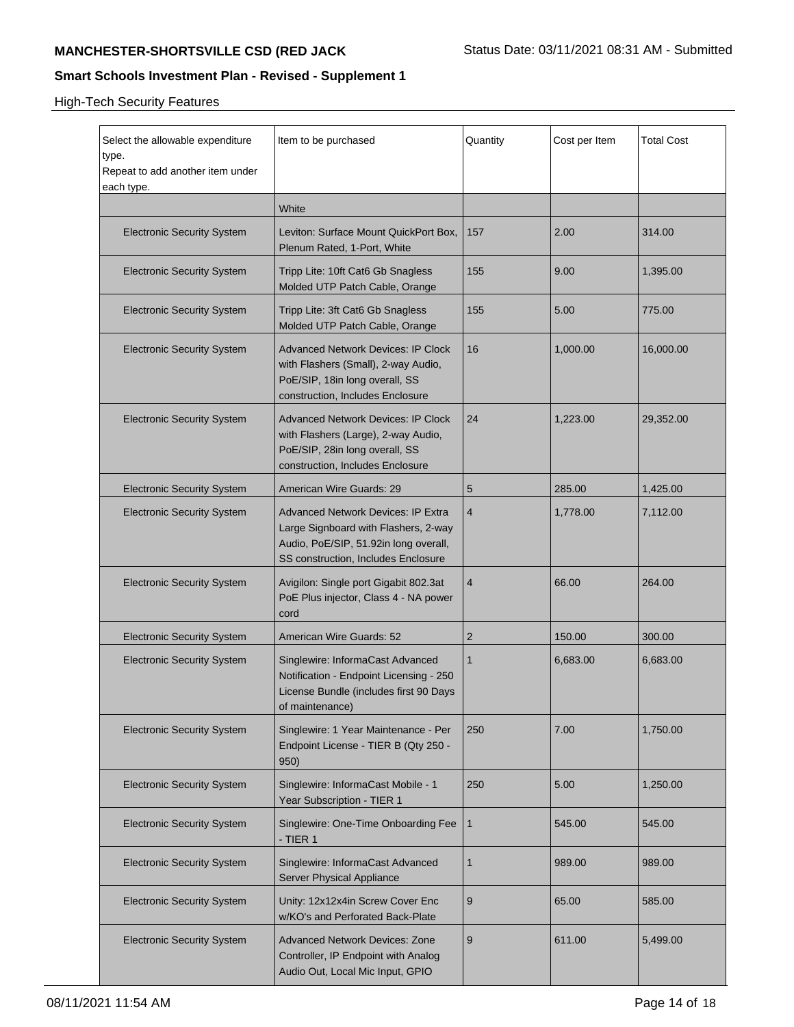| Select the allowable expenditure<br>type.<br>Repeat to add another item under<br>each type. | Item to be purchased                                                                                                                                       | Quantity       | Cost per Item | <b>Total Cost</b> |
|---------------------------------------------------------------------------------------------|------------------------------------------------------------------------------------------------------------------------------------------------------------|----------------|---------------|-------------------|
|                                                                                             | White                                                                                                                                                      |                |               |                   |
| <b>Electronic Security System</b>                                                           | Leviton: Surface Mount QuickPort Box,<br>Plenum Rated, 1-Port, White                                                                                       | 157            | 2.00          | 314.00            |
| <b>Electronic Security System</b>                                                           | Tripp Lite: 10ft Cat6 Gb Snagless<br>Molded UTP Patch Cable, Orange                                                                                        | 155            | 9.00          | 1,395.00          |
| <b>Electronic Security System</b>                                                           | Tripp Lite: 3ft Cat6 Gb Snagless<br>Molded UTP Patch Cable, Orange                                                                                         | 155            | 5.00          | 775.00            |
| <b>Electronic Security System</b>                                                           | <b>Advanced Network Devices: IP Clock</b><br>with Flashers (Small), 2-way Audio,<br>PoE/SIP, 18in long overall, SS<br>construction, Includes Enclosure     | 16             | 1,000.00      | 16,000.00         |
| <b>Electronic Security System</b>                                                           | <b>Advanced Network Devices: IP Clock</b><br>with Flashers (Large), 2-way Audio,<br>PoE/SIP, 28in long overall, SS<br>construction, Includes Enclosure     | 24             | 1,223.00      | 29,352.00         |
| <b>Electronic Security System</b>                                                           | American Wire Guards: 29                                                                                                                                   | 5              | 285.00        | 1,425.00          |
| <b>Electronic Security System</b>                                                           | Advanced Network Devices: IP Extra<br>Large Signboard with Flashers, 2-way<br>Audio, PoE/SIP, 51.92in long overall,<br>SS construction, Includes Enclosure | $\overline{4}$ | 1,778.00      | 7,112.00          |
| <b>Electronic Security System</b>                                                           | Avigilon: Single port Gigabit 802.3at<br>PoE Plus injector, Class 4 - NA power<br>cord                                                                     | $\overline{4}$ | 66.00         | 264.00            |
| <b>Electronic Security System</b>                                                           | American Wire Guards: 52                                                                                                                                   | 2              | 150.00        | 300.00            |
| <b>Electronic Security System</b>                                                           | Singlewire: InformaCast Advanced<br>Notification - Endpoint Licensing - 250<br>License Bundle (includes first 90 Days<br>of maintenance)                   | $\mathbf{1}$   | 6,683.00      | 6,683.00          |
| <b>Electronic Security System</b>                                                           | Singlewire: 1 Year Maintenance - Per<br>Endpoint License - TIER B (Qty 250 -<br>950)                                                                       | 250            | 7.00          | 1,750.00          |
| <b>Electronic Security System</b>                                                           | Singlewire: InformaCast Mobile - 1<br>Year Subscription - TIER 1                                                                                           | 250            | 5.00          | 1,250.00          |
| <b>Electronic Security System</b>                                                           | Singlewire: One-Time Onboarding Fee<br>- TIER 1                                                                                                            | $\mathbf{1}$   | 545.00        | 545.00            |
| <b>Electronic Security System</b>                                                           | Singlewire: InformaCast Advanced<br>Server Physical Appliance                                                                                              | 1              | 989.00        | 989.00            |
| <b>Electronic Security System</b>                                                           | Unity: 12x12x4in Screw Cover Enc<br>w/KO's and Perforated Back-Plate                                                                                       | 9              | 65.00         | 585.00            |
| <b>Electronic Security System</b>                                                           | <b>Advanced Network Devices: Zone</b><br>Controller, IP Endpoint with Analog<br>Audio Out, Local Mic Input, GPIO                                           | 9              | 611.00        | 5,499.00          |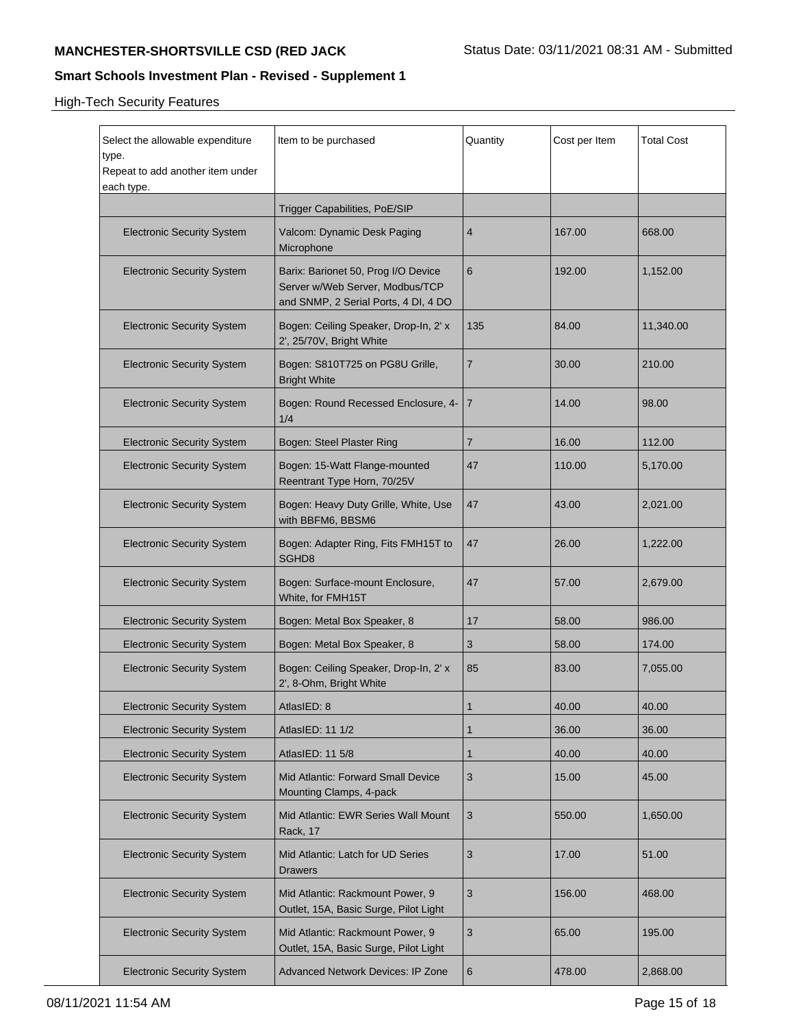| Select the allowable expenditure<br>type.<br>Repeat to add another item under<br>each type. | Item to be purchased                                                                                           | Quantity       | Cost per Item | <b>Total Cost</b> |
|---------------------------------------------------------------------------------------------|----------------------------------------------------------------------------------------------------------------|----------------|---------------|-------------------|
|                                                                                             | Trigger Capabilities, PoE/SIP                                                                                  |                |               |                   |
| <b>Electronic Security System</b>                                                           | Valcom: Dynamic Desk Paging<br>Microphone                                                                      | 4              | 167.00        | 668.00            |
| <b>Electronic Security System</b>                                                           | Barix: Barionet 50, Prog I/O Device<br>Server w/Web Server, Modbus/TCP<br>and SNMP, 2 Serial Ports, 4 DI, 4 DO | 6              | 192.00        | 1,152.00          |
| <b>Electronic Security System</b>                                                           | Bogen: Ceiling Speaker, Drop-In, 2' x<br>2', 25/70V, Bright White                                              | 135            | 84.00         | 11,340.00         |
| <b>Electronic Security System</b>                                                           | Bogen: S810T725 on PG8U Grille,<br><b>Bright White</b>                                                         | 7              | 30.00         | 210.00            |
| <b>Electronic Security System</b>                                                           | Bogen: Round Recessed Enclosure, 4-<br>1/4                                                                     | $\overline{7}$ | 14.00         | 98.00             |
| <b>Electronic Security System</b>                                                           | Bogen: Steel Plaster Ring                                                                                      | $\overline{7}$ | 16.00         | 112.00            |
| <b>Electronic Security System</b>                                                           | Bogen: 15-Watt Flange-mounted<br>Reentrant Type Horn, 70/25V                                                   | 47             | 110.00        | 5,170.00          |
| <b>Electronic Security System</b>                                                           | Bogen: Heavy Duty Grille, White, Use<br>with BBFM6, BBSM6                                                      | 47             | 43.00         | 2,021.00          |
| <b>Electronic Security System</b>                                                           | Bogen: Adapter Ring, Fits FMH15T to<br>SGHD8                                                                   | 47             | 26.00         | 1,222.00          |
| <b>Electronic Security System</b>                                                           | Bogen: Surface-mount Enclosure,<br>White, for FMH15T                                                           | 47             | 57.00         | 2,679.00          |
| <b>Electronic Security System</b>                                                           | Bogen: Metal Box Speaker, 8                                                                                    | 17             | 58.00         | 986.00            |
| <b>Electronic Security System</b>                                                           | Bogen: Metal Box Speaker, 8                                                                                    | 3              | 58.00         | 174.00            |
| <b>Electronic Security System</b>                                                           | Bogen: Ceiling Speaker, Drop-In, 2' x<br>2', 8-Ohm, Bright White                                               | 85             | 83.00         | 7,055.00          |
| <b>Electronic Security System</b>                                                           | AtlasIED: 8                                                                                                    | 1              | 40.00         | 40.00             |
| <b>Electronic Security System</b>                                                           | AtlasIED: 11 1/2                                                                                               | 1              | 36.00         | 36.00             |
| <b>Electronic Security System</b>                                                           | AtlasIED: 11 5/8                                                                                               | 1              | 40.00         | 40.00             |
| <b>Electronic Security System</b>                                                           | Mid Atlantic: Forward Small Device<br>Mounting Clamps, 4-pack                                                  | 3              | 15.00         | 45.00             |
| <b>Electronic Security System</b>                                                           | Mid Atlantic: EWR Series Wall Mount<br>Rack, 17                                                                | 3              | 550.00        | 1,650.00          |
| <b>Electronic Security System</b>                                                           | Mid Atlantic: Latch for UD Series<br>Drawers                                                                   | 3              | 17.00         | 51.00             |
| <b>Electronic Security System</b>                                                           | Mid Atlantic: Rackmount Power, 9<br>Outlet, 15A, Basic Surge, Pilot Light                                      | $\sqrt{3}$     | 156.00        | 468.00            |
| <b>Electronic Security System</b>                                                           | Mid Atlantic: Rackmount Power, 9<br>Outlet, 15A, Basic Surge, Pilot Light                                      | $\sqrt{3}$     | 65.00         | 195.00            |
| <b>Electronic Security System</b>                                                           | Advanced Network Devices: IP Zone                                                                              | 6              | 478.00        | 2,868.00          |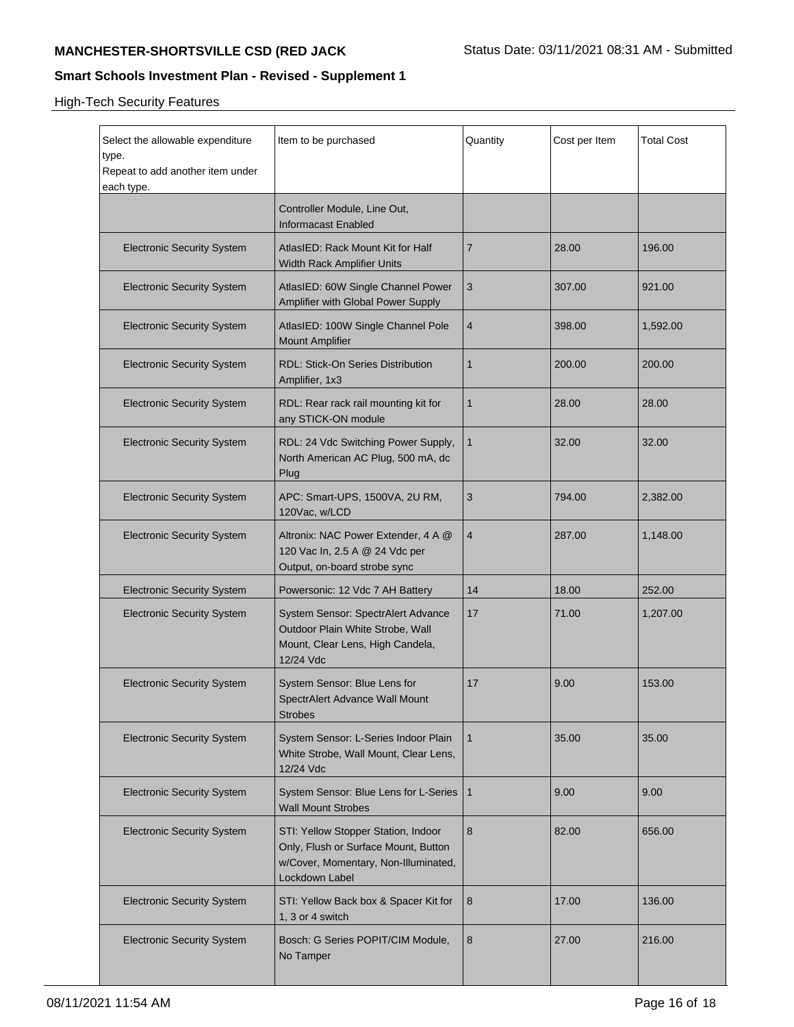| Select the allowable expenditure<br>type.<br>Repeat to add another item under<br>each type. | Item to be purchased                                                                                                                  | Quantity       | Cost per Item | <b>Total Cost</b> |
|---------------------------------------------------------------------------------------------|---------------------------------------------------------------------------------------------------------------------------------------|----------------|---------------|-------------------|
|                                                                                             | Controller Module, Line Out,<br><b>Informacast Enabled</b>                                                                            |                |               |                   |
| <b>Electronic Security System</b>                                                           | AtlasIED: Rack Mount Kit for Half<br>Width Rack Amplifier Units                                                                       | 7              | 28.00         | 196.00            |
| <b>Electronic Security System</b>                                                           | AtlasIED: 60W Single Channel Power<br>Amplifier with Global Power Supply                                                              | 3              | 307.00        | 921.00            |
| <b>Electronic Security System</b>                                                           | AtlasIED: 100W Single Channel Pole<br><b>Mount Amplifier</b>                                                                          | $\overline{4}$ | 398.00        | 1,592.00          |
| <b>Electronic Security System</b>                                                           | RDL: Stick-On Series Distribution<br>Amplifier, 1x3                                                                                   | 1              | 200.00        | 200.00            |
| <b>Electronic Security System</b>                                                           | RDL: Rear rack rail mounting kit for<br>any STICK-ON module                                                                           | $\mathbf{1}$   | 28.00         | 28.00             |
| <b>Electronic Security System</b>                                                           | RDL: 24 Vdc Switching Power Supply,<br>North American AC Plug, 500 mA, dc<br>Plug                                                     | $\mathbf{1}$   | 32.00         | 32.00             |
| <b>Electronic Security System</b>                                                           | APC: Smart-UPS, 1500VA, 2U RM,<br>120Vac, w/LCD                                                                                       | 3              | 794.00        | 2,382.00          |
| <b>Electronic Security System</b>                                                           | Altronix: NAC Power Extender, 4 A @<br>120 Vac In, 2.5 A @ 24 Vdc per<br>Output, on-board strobe sync                                 | $\overline{4}$ | 287.00        | 1,148.00          |
| <b>Electronic Security System</b>                                                           | Powersonic: 12 Vdc 7 AH Battery                                                                                                       | 14             | 18.00         | 252.00            |
| <b>Electronic Security System</b>                                                           | System Sensor: SpectrAlert Advance<br>Outdoor Plain White Strobe, Wall<br>Mount, Clear Lens, High Candela,<br>12/24 Vdc               | 17             | 71.00         | 1,207.00          |
| <b>Electronic Security System</b>                                                           | System Sensor: Blue Lens for<br>SpectrAlert Advance Wall Mount<br><b>Strobes</b>                                                      | 17             | 9.00          | 153.00            |
| <b>Electronic Security System</b>                                                           | System Sensor: L-Series Indoor Plain<br>White Strobe, Wall Mount, Clear Lens,<br>12/24 Vdc                                            | $\mathbf{1}$   | 35.00         | 35.00             |
| <b>Electronic Security System</b>                                                           | System Sensor: Blue Lens for L-Series   1<br><b>Wall Mount Strobes</b>                                                                |                | 9.00          | 9.00              |
| <b>Electronic Security System</b>                                                           | STI: Yellow Stopper Station, Indoor<br>Only, Flush or Surface Mount, Button<br>w/Cover, Momentary, Non-Illuminated,<br>Lockdown Label | 8              | 82.00         | 656.00            |
| <b>Electronic Security System</b>                                                           | STI: Yellow Back box & Spacer Kit for<br>1, 3 or 4 switch                                                                             | 8              | 17.00         | 136.00            |
| <b>Electronic Security System</b>                                                           | Bosch: G Series POPIT/CIM Module,<br>No Tamper                                                                                        | 8              | 27.00         | 216.00            |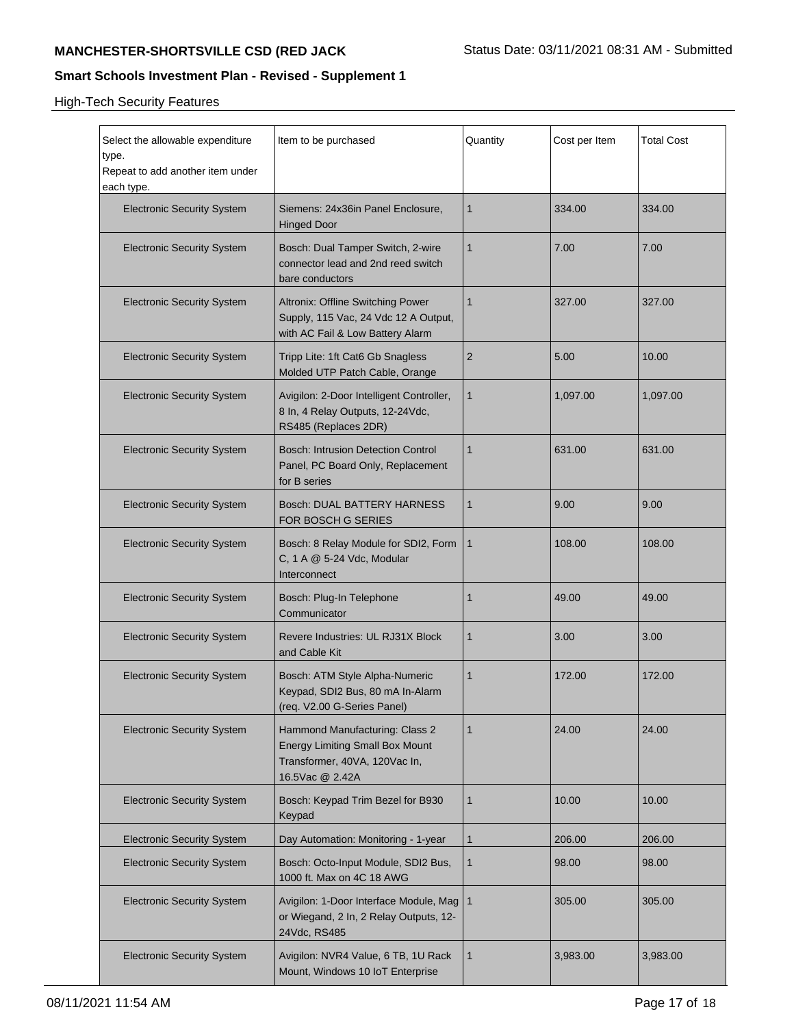| Select the allowable expenditure<br>type.<br>Repeat to add another item under<br>each type. | Item to be purchased                                                                                                         | Quantity       | Cost per Item | <b>Total Cost</b> |
|---------------------------------------------------------------------------------------------|------------------------------------------------------------------------------------------------------------------------------|----------------|---------------|-------------------|
| <b>Electronic Security System</b>                                                           | Siemens: 24x36in Panel Enclosure,<br><b>Hinged Door</b>                                                                      | 1              | 334.00        | 334.00            |
| <b>Electronic Security System</b>                                                           | Bosch: Dual Tamper Switch, 2-wire<br>connector lead and 2nd reed switch<br>bare conductors                                   | $\mathbf{1}$   | 7.00          | 7.00              |
| <b>Electronic Security System</b>                                                           | Altronix: Offline Switching Power<br>Supply, 115 Vac, 24 Vdc 12 A Output,<br>with AC Fail & Low Battery Alarm                | $\mathbf{1}$   | 327.00        | 327.00            |
| <b>Electronic Security System</b>                                                           | Tripp Lite: 1ft Cat6 Gb Snagless<br>Molded UTP Patch Cable, Orange                                                           | 2              | 5.00          | 10.00             |
| <b>Electronic Security System</b>                                                           | Avigilon: 2-Door Intelligent Controller,<br>8 In, 4 Relay Outputs, 12-24Vdc,<br>RS485 (Replaces 2DR)                         | $\mathbf{1}$   | 1,097.00      | 1,097.00          |
| <b>Electronic Security System</b>                                                           | <b>Bosch: Intrusion Detection Control</b><br>Panel, PC Board Only, Replacement<br>for B series                               | $\mathbf{1}$   | 631.00        | 631.00            |
| <b>Electronic Security System</b>                                                           | Bosch: DUAL BATTERY HARNESS<br>FOR BOSCH G SERIES                                                                            | $\mathbf{1}$   | 9.00          | 9.00              |
| <b>Electronic Security System</b>                                                           | Bosch: 8 Relay Module for SDI2, Form<br>C, 1 A @ 5-24 Vdc, Modular<br>Interconnect                                           | $\mathbf{1}$   | 108.00        | 108.00            |
| <b>Electronic Security System</b>                                                           | Bosch: Plug-In Telephone<br>Communicator                                                                                     | $\mathbf{1}$   | 49.00         | 49.00             |
| <b>Electronic Security System</b>                                                           | Revere Industries: UL RJ31X Block<br>and Cable Kit                                                                           | 1              | 3.00          | 3.00              |
| <b>Electronic Security System</b>                                                           | Bosch: ATM Style Alpha-Numeric<br>Keypad, SDI2 Bus, 80 mA In-Alarm<br>(req. V2.00 G-Series Panel)                            | $\mathbf{1}$   | 172.00        | 172.00            |
| <b>Electronic Security System</b>                                                           | Hammond Manufacturing: Class 2<br><b>Energy Limiting Small Box Mount</b><br>Transformer, 40VA, 120Vac In,<br>16.5Vac @ 2.42A | $\mathbf{1}$   | 24.00         | 24.00             |
| <b>Electronic Security System</b>                                                           | Bosch: Keypad Trim Bezel for B930<br>Keypad                                                                                  | $\mathbf{1}$   | 10.00         | 10.00             |
| <b>Electronic Security System</b>                                                           | Day Automation: Monitoring - 1-year                                                                                          | $\mathbf{1}$   | 206.00        | 206.00            |
| <b>Electronic Security System</b>                                                           | Bosch: Octo-Input Module, SDI2 Bus,<br>1000 ft. Max on 4C 18 AWG                                                             | 1              | 98.00         | 98.00             |
| <b>Electronic Security System</b>                                                           | Avigilon: 1-Door Interface Module, Mag<br>or Wiegand, 2 In, 2 Relay Outputs, 12-<br>24Vdc, RS485                             | $\overline{1}$ | 305.00        | 305.00            |
| <b>Electronic Security System</b>                                                           | Avigilon: NVR4 Value, 6 TB, 1U Rack<br>Mount, Windows 10 IoT Enterprise                                                      | $\mathbf{1}$   | 3,983.00      | 3,983.00          |